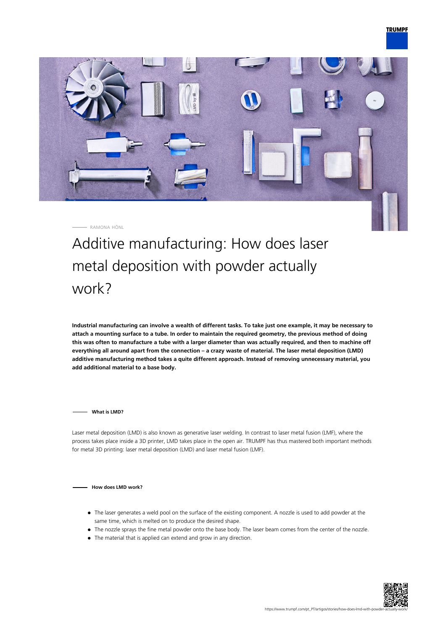

RAMONA HÖNL

Additive manufacturing: How does laser metal deposition with powder actually work?

**Industrial manufacturing can involve a wealth of different tasks. To take just one example, it may be necessary to attach a mounting surface to a tube. In order to maintain the required geometry, the previous method of doing this was often to manufacture a tube with a larger diameter than was actually required, and then to machine off everything all around apart from the connection – a crazy waste of material. The laser metal deposition (LMD) additive manufacturing method takes a quite different approach. Instead of removing unnecessary material, you add additional material to a base body.**

**What is LMD?**

Laser metal deposition (LMD) is also known as generative laser welding. In contrast to laser metal fusion (LMF), where the process takes place inside a 3D printer, LMD takes place in the open air. TRUMPF has thus mastered both important methods for metal 3D printing: laser metal deposition (LMD) and laser metal fusion (LMF).

## **How does LMD work?**

- The laser generates a weld pool on the surface of the existing component. A nozzle is used to add powder at the same time, which is melted on to produce the desired shape.
- The nozzle sprays the fine metal powder onto the base body. The laser beam comes from the center of the nozzle.
- The material that is applied can extend and grow in any direction.

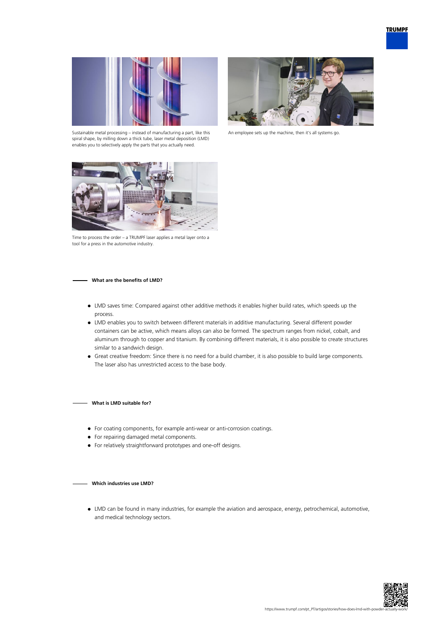

Sustainable metal processing – instead of manufacturing a part, like this spiral shape, by milling down a thick tube, laser metal deposition (LMD) enables you to selectively apply the parts that you actually need.



An employee sets up the machine, then it's all systems go.



Time to process the order – a TRUMPF laser applies a metal layer onto a tool for a press in the automotive industry.

## **What are the benefits of LMD?**

- LMD saves time: Compared against other additive methods it enables higher build rates, which speeds up the process.
- LMD enables you to switch between different materials in additive manufacturing. Several different powder containers can be active, which means alloys can also be formed. The spectrum ranges from nickel, cobalt, and aluminum through to copper and titanium. By combining different materials, it is also possible to create structures similar to a sandwich design.
- Great creative freedom: Since there is no need for a build chamber, it is also possible to build large components. The laser also has unrestricted access to the base body.

**What is LMD suitable for?**

- For coating components, for example anti-wear or anti-corrosion coatings.
- For repairing damaged metal components.
- For relatively straightforward prototypes and one-off designs.

## **Which industries use LMD?**

LMD can be found in many industries, for example the aviation and aerospace, energy, petrochemical, automotive, and medical technology sectors.